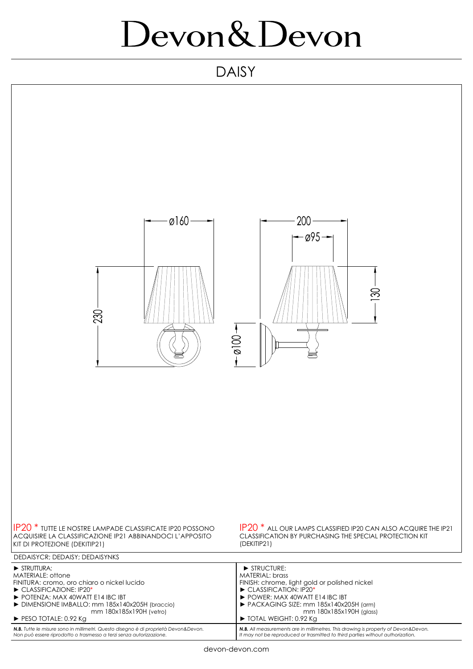## Devon & Devon

## DAISY